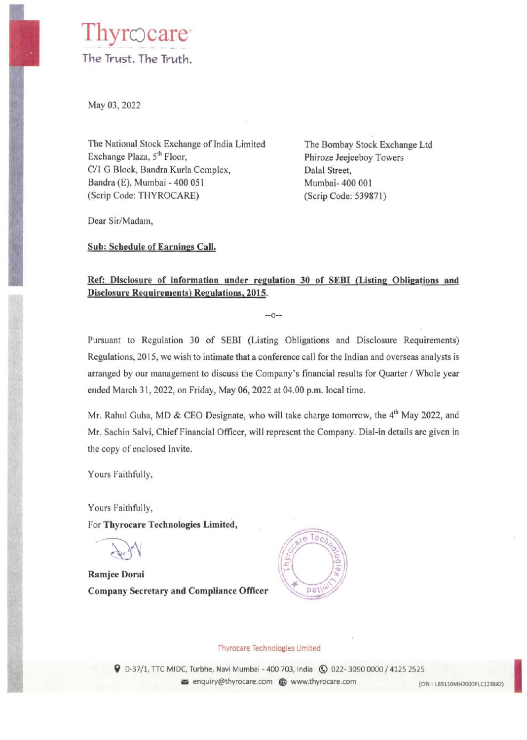## hyrocare The Trust. The Truth.

May 03, 2022

The National Stock Exchange of India Limited Exchange Plaza, 5<sup>th</sup> Floor, C/1 G Block, Bandra Kurla Complex, Bandra (E), Mumbai - 400 051 (Scrip Code: THYROCARE)

The Bombay Stock Exchange Ltd Phiroze Jeejeeboy Towers Dalal Street, Mumbai- 400 001 (Scrip Code: 539871)

Dear Sir/Madam,

**Sub: Schedule of Earnings Call.** 

## **Ref: Disclosure of information under regulation 30 of SEBI (Listing Obligations and Disclosure Requirements) Regulations, 2015.**

 $-0-$ 

Pursuant to Regulation 30 of SEBI (Listing Obligations and Disclosure Requirements) Regulations, 2015, we wish to intimate that a conference call for the Indian and overseas analysts is arranged by our management to discuss the Company's financial results for Quarter/ Whole year ended March 31, 2022, on Friday, May 06, 2022 at 04.00 p.m. local time.

Mr. Rahul Guha, MD & CEO Designate, who will take charge tomorrow, the 4<sup>th</sup> May 2022, and Mr. Sachin Salvi, Chief Financial Officer, will represent the Company. Dial-in details are given in the copy of enclosed Invite.

Yours Faithfully,

Yours Faithfully, For **Thyrocare Technologies Limited,** 

**Ramjee Dorai Company Secretary and Compliance Officer** 



## Thyrocare Technologies Limited

**9** D-37/1, TTC MIDC, Turbhe, Navi Mumbai - 400 703, India **(0 022- 3090 0000 / 4125 2525**<br>
• enquiry@thyrocare.com **G**www.thyrocare.com in the stationer.com in the stationer of the stationer ended in the stationer ended i